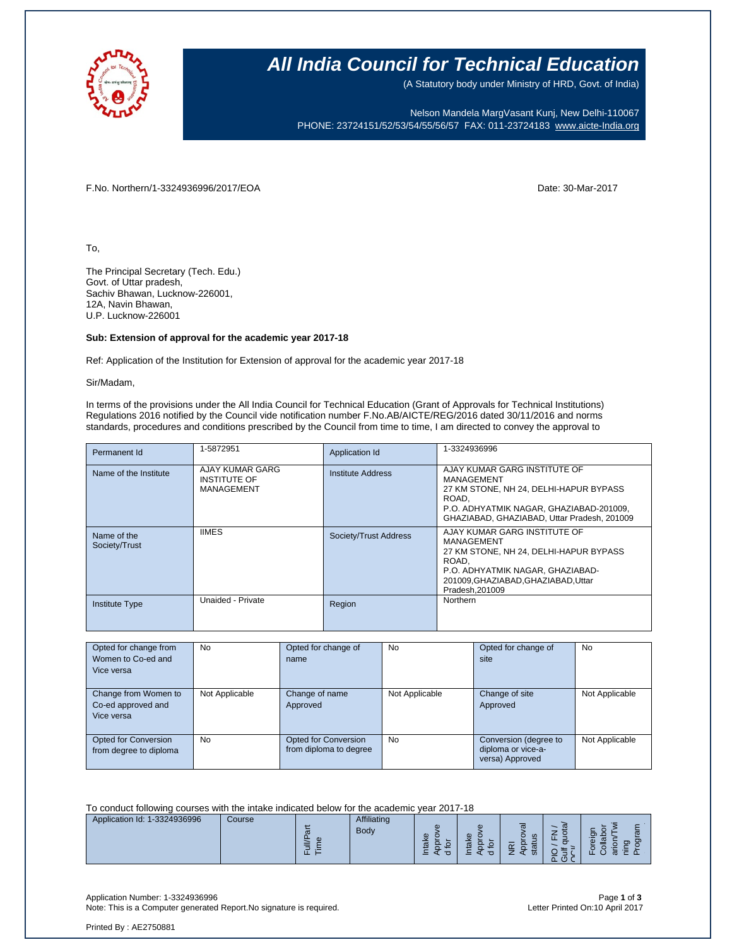

### **All India Council for Technical Education**

(A Statutory body under Ministry of HRD, Govt. of India)

Nelson Mandela MargVasant Kunj, New Delhi-110067 PHONE: 23724151/52/53/54/55/56/57 FAX: 011-23724183 [www.aicte-India.org](http://www.aicte-india.org/)

F.No. Northern/1-3324936996/2017/EOA Date: 30-Mar-2017

To,

The Principal Secretary (Tech. Edu.) Govt. of Uttar pradesh, Sachiv Bhawan, Lucknow-226001, 12A, Navin Bhawan, U.P. Lucknow-226001

#### **Sub: Extension of approval for the academic year 2017-18**

Ref: Application of the Institution for Extension of approval for the academic year 2017-18

Sir/Madam,

In terms of the provisions under the All India Council for Technical Education (Grant of Approvals for Technical Institutions) Regulations 2016 notified by the Council vide notification number F.No.AB/AICTE/REG/2016 dated 30/11/2016 and norms standards, procedures and conditions prescribed by the Council from time to time, I am directed to convey the approval to

| Permanent Id                 | 1-5872951                                                   | Application Id        | 1-3324936996                                                                                                                                                                               |
|------------------------------|-------------------------------------------------------------|-----------------------|--------------------------------------------------------------------------------------------------------------------------------------------------------------------------------------------|
| Name of the Institute        | AJAY KUMAR GARG<br><b>INSTITUTE OF</b><br><b>MANAGEMENT</b> | Institute Address     | AJAY KUMAR GARG INSTITUTE OF<br>MANAGEMENT<br>27 KM STONE, NH 24, DELHI-HAPUR BYPASS<br>ROAD.<br>P.O. ADHYATMIK NAGAR, GHAZIABAD-201009,<br>GHAZIABAD, GHAZIABAD, Uttar Pradesh, 201009    |
| Name of the<br>Society/Trust | <b>IIMES</b>                                                | Society/Trust Address | AJAY KUMAR GARG INSTITUTE OF<br>MANAGEMENT<br>27 KM STONE, NH 24, DELHI-HAPUR BYPASS<br>ROAD.<br>P.O. ADHYATMIK NAGAR, GHAZIABAD-<br>201009, GHAZIABAD, GHAZIABAD, Uttar<br>Pradesh.201009 |
| <b>Institute Type</b>        | Unaided - Private                                           | Region                | Northern                                                                                                                                                                                   |

| Opted for change from  | <b>No</b>      | Opted for change of    | No             | Opted for change of   | <b>No</b>      |
|------------------------|----------------|------------------------|----------------|-----------------------|----------------|
| Women to Co-ed and     |                | name                   |                | site                  |                |
| Vice versa             |                |                        |                |                       |                |
|                        |                |                        |                |                       |                |
| Change from Women to   | Not Applicable | Change of name         | Not Applicable | Change of site        | Not Applicable |
| Co-ed approved and     |                | Approved               |                | Approved              |                |
| Vice versa             |                |                        |                |                       |                |
|                        |                |                        |                |                       |                |
| Opted for Conversion   | <b>No</b>      | Opted for Conversion   | No             | Conversion (degree to | Not Applicable |
| from degree to diploma |                | from diploma to degree |                | diploma or vice-a-    |                |
|                        |                |                        |                | versa) Approved       |                |

To conduct following courses with the intake indicated below for the academic year 2017-18

| Application Id: 1-3324936996<br>Course | Affiliating<br>Body<br>$\boldsymbol{\sigma}$<br>-<br>· | G)<br>G)<br>Φ<br>$\omega$<br>π<br>ത<br><b>COLLEGE</b><br>. .<br>-<br>- | _<br>$\overline{\mathfrak{a}}$<br>ത<br>$\omega$<br>والمتعاد<br>$\sim$<br>$\omega$<br>Ø<br>-<br>$\sqrt{2}$<br>௨<br>◡ | $\overline{\phantom{a}}$<br>$\mathbf{\sigma}$<br>గా<br>--<br>$\overline{\omega}$<br>G)<br>$\sim$<br>ത |
|----------------------------------------|--------------------------------------------------------|------------------------------------------------------------------------|---------------------------------------------------------------------------------------------------------------------|-------------------------------------------------------------------------------------------------------|
|----------------------------------------|--------------------------------------------------------|------------------------------------------------------------------------|---------------------------------------------------------------------------------------------------------------------|-------------------------------------------------------------------------------------------------------|

Application Number: 1-3324936996 Page **1** of **3** Note: This is a Computer generated Report.No signature is required.

Printed By : AE2750881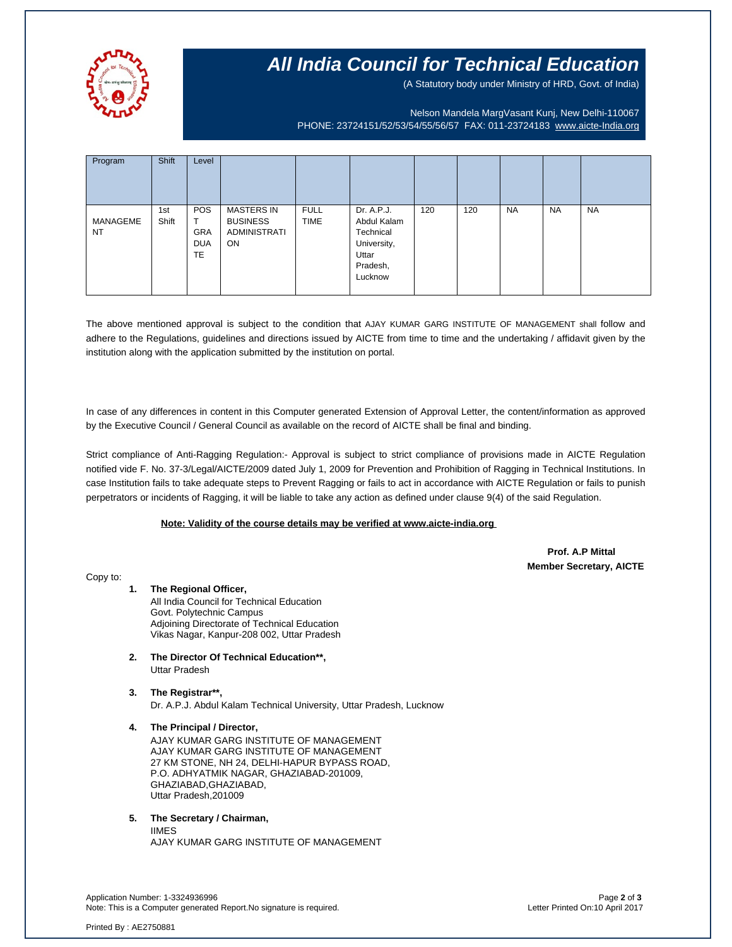

## **All India Council for Technical Education**

(A Statutory body under Ministry of HRD, Govt. of India)

Nelson Mandela MargVasant Kunj, New Delhi-110067 PHONE: 23724151/52/53/54/55/56/57 FAX: 011-23724183 [www.aicte-India.org](http://www.aicte-india.org/)

| Program               | Shift        | Level                                                    |                                                                   |                            |                                                                                       |     |     |           |           |           |
|-----------------------|--------------|----------------------------------------------------------|-------------------------------------------------------------------|----------------------------|---------------------------------------------------------------------------------------|-----|-----|-----------|-----------|-----------|
| MANAGEME<br><b>NT</b> | 1st<br>Shift | <b>POS</b><br>᠇<br><b>GRA</b><br><b>DUA</b><br><b>TE</b> | <b>MASTERS IN</b><br><b>BUSINESS</b><br><b>ADMINISTRATI</b><br>ON | <b>FULL</b><br><b>TIME</b> | Dr. A.P.J.<br>Abdul Kalam<br>Technical<br>University,<br>Uttar<br>Pradesh,<br>Lucknow | 120 | 120 | <b>NA</b> | <b>NA</b> | <b>NA</b> |

The above mentioned approval is subject to the condition that AJAY KUMAR GARG INSTITUTE OF MANAGEMENT shall follow and adhere to the Regulations, guidelines and directions issued by AICTE from time to time and the undertaking / affidavit given by the institution along with the application submitted by the institution on portal.

In case of any differences in content in this Computer generated Extension of Approval Letter, the content/information as approved by the Executive Council / General Council as available on the record of AICTE shall be final and binding.

Strict compliance of Anti-Ragging Regulation:- Approval is subject to strict compliance of provisions made in AICTE Regulation notified vide F. No. 37-3/Legal/AICTE/2009 dated July 1, 2009 for Prevention and Prohibition of Ragging in Technical Institutions. In case Institution fails to take adequate steps to Prevent Ragging or fails to act in accordance with AICTE Regulation or fails to punish perpetrators or incidents of Ragging, it will be liable to take any action as defined under clause 9(4) of the said Regulation.

#### **Note: Validity of the course details may be verified at www.aicte-india.org**

 **Prof. A.P Mittal Member Secretary, AICTE**

Copy to:

- **1. The Regional Officer,** All India Council for Technical Education Govt. Polytechnic Campus Adjoining Directorate of Technical Education Vikas Nagar, Kanpur-208 002, Uttar Pradesh
- **2. The Director Of Technical Education\*\*,** Uttar Pradesh
- **3. The Registrar\*\*,** Dr. A.P.J. Abdul Kalam Technical University, Uttar Pradesh, Lucknow
- **4. The Principal / Director,** AJAY KUMAR GARG INSTITUTE OF MANAGEMENT AJAY KUMAR GARG INSTITUTE OF MANAGEMENT 27 KM STONE, NH 24, DELHI-HAPUR BYPASS ROAD, P.O. ADHYATMIK NAGAR, GHAZIABAD-201009, GHAZIABAD,GHAZIABAD, Uttar Pradesh,201009

#### **5. The Secretary / Chairman,**

IIMES AJAY KUMAR GARG INSTITUTE OF MANAGEMENT

Application Number: 1-3324936996 Page **2** of **3** Note: This is a Computer generated Report.No signature is required.